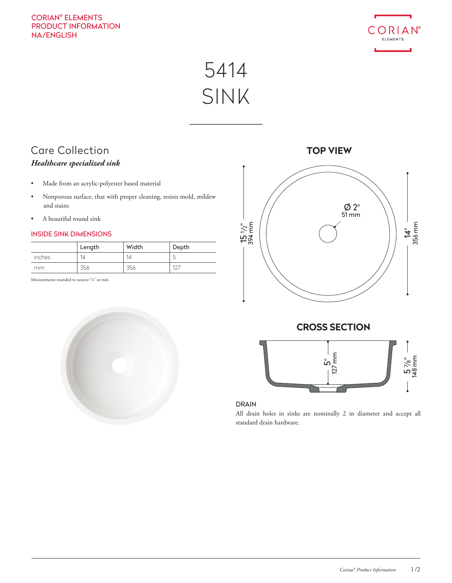## CORIAN® ELEMENTS PRODUCT INFORMATION NA/ENGLISH



5414 SINK

# Care Collection *Healthcare specialized sink*

- Made from an acrylic-polyester based material
- Nonporous surface, that with proper cleaning, resists mold, mildew and stains
- A beautiful round sink

### INSIDE SINK DIMENSIONS

|        | Length | Width | Depth     |
|--------|--------|-------|-----------|
| inches | 14     | 14    | ь<br>◡    |
| mm     | 356    | 356   | $10^{-7}$ |

Measurements rounded to nearest <sup>1</sup>/8" or mm



**TOP VIEW**







All drain holes in sinks are nominally 2 in diameter and accept all standard drain hardware.